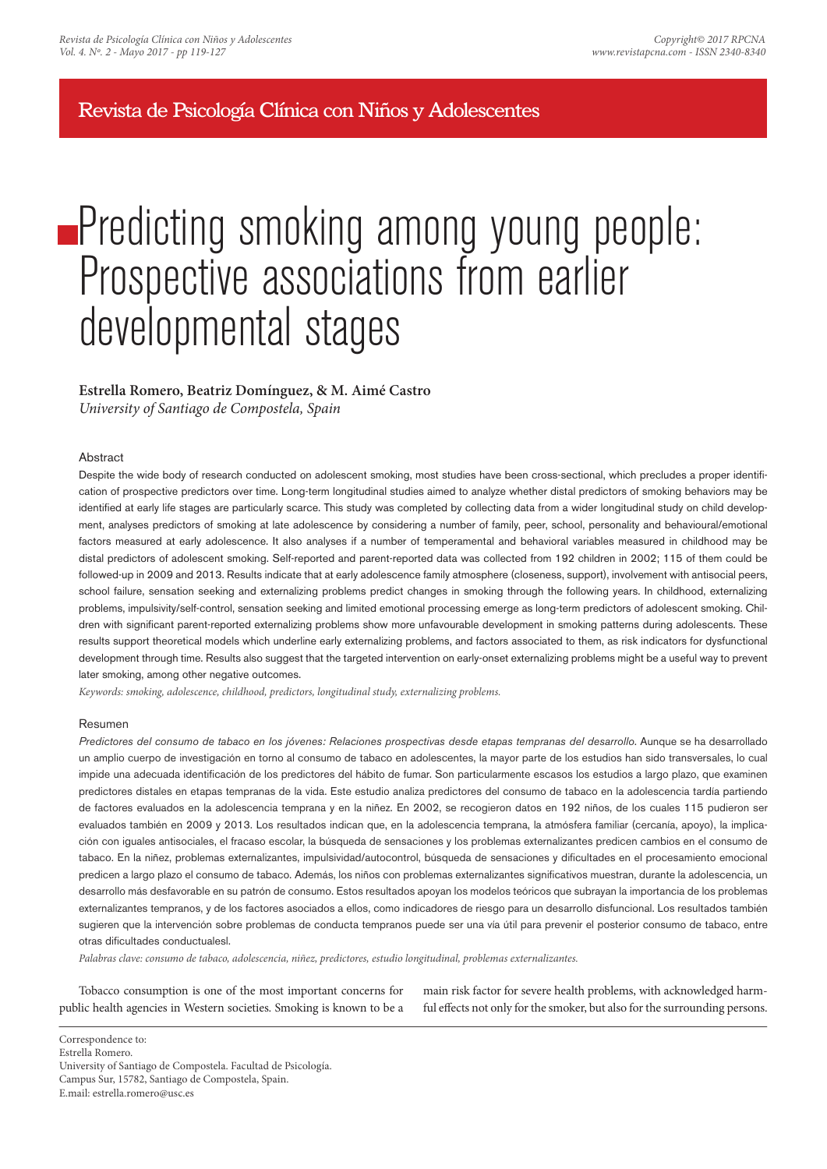## Revista de Psicología Clínica con Niños y Adolescentes

# **Predicting smoking among young people:** Prospective associations from earlier developmental stages

## **Estrella Romero, Beatriz Domínguez, & M. Aimé Castro**

*University of Santiago de Compostela, Spain*

## **Abstract**

Despite the wide body of research conducted on adolescent smoking, most studies have been cross-sectional, which precludes a proper identification of prospective predictors over time. Long-term longitudinal studies aimed to analyze whether distal predictors of smoking behaviors may be identified at early life stages are particularly scarce. This study was completed by collecting data from a wider longitudinal study on child development, analyses predictors of smoking at late adolescence by considering a number of family, peer, school, personality and behavioural/emotional factors measured at early adolescence. It also analyses if a number of temperamental and behavioral variables measured in childhood may be distal predictors of adolescent smoking. Self-reported and parent-reported data was collected from 192 children in 2002; 115 of them could be followed-up in 2009 and 2013. Results indicate that at early adolescence family atmosphere (closeness, support), involvement with antisocial peers, school failure, sensation seeking and externalizing problems predict changes in smoking through the following years. In childhood, externalizing problems, impulsivity/self-control, sensation seeking and limited emotional processing emerge as long-term predictors of adolescent smoking. Children with significant parent-reported externalizing problems show more unfavourable development in smoking patterns during adolescents. These results support theoretical models which underline early externalizing problems, and factors associated to them, as risk indicators for dysfunctional development through time. Results also suggest that the targeted intervention on early-onset externalizing problems might be a useful way to prevent later smoking, among other negative outcomes.

*Keywords: smoking, adolescence, childhood, predictors, longitudinal study, externalizing problems.*

## Resumen

*Predictores del consumo de tabaco en los jóvenes: Relaciones prospectivas desde etapas tempranas del desarrollo*. Aunque se ha desarrollado un amplio cuerpo de investigación en torno al consumo de tabaco en adolescentes, la mayor parte de los estudios han sido transversales, lo cual impide una adecuada identificación de los predictores del hábito de fumar. Son particularmente escasos los estudios a largo plazo, que examinen predictores distales en etapas tempranas de la vida. Este estudio analiza predictores del consumo de tabaco en la adolescencia tardía partiendo de factores evaluados en la adolescencia temprana y en la niñez. En 2002, se recogieron datos en 192 niños, de los cuales 115 pudieron ser evaluados también en 2009 y 2013. Los resultados indican que, en la adolescencia temprana, la atmósfera familiar (cercanía, apoyo), la implicación con iguales antisociales, el fracaso escolar, la búsqueda de sensaciones y los problemas externalizantes predicen cambios en el consumo de tabaco. En la niñez, problemas externalizantes, impulsividad/autocontrol, búsqueda de sensaciones y dificultades en el procesamiento emocional predicen a largo plazo el consumo de tabaco. Además, los niños con problemas externalizantes significativos muestran, durante la adolescencia, un desarrollo más desfavorable en su patrón de consumo. Estos resultados apoyan los modelos teóricos que subrayan la importancia de los problemas externalizantes tempranos, y de los factores asociados a ellos, como indicadores de riesgo para un desarrollo disfuncional. Los resultados también sugieren que la intervención sobre problemas de conducta tempranos puede ser una vía útil para prevenir el posterior consumo de tabaco, entre otras dificultades conductualesl.

*Palabras clave: consumo de tabaco, adolescencia, niñez, predictores, estudio longitudinal, problemas externalizantes.*

Tobacco consumption is one of the most important concerns for public health agencies in Western societies. Smoking is known to be a

main risk factor for severe health problems, with acknowledged harmful effects not only for the smoker, but also for the surrounding persons.

Correspondence to: Estrella Romero. University of Santiago de Compostela. Facultad de Psicología. Campus Sur, 15782, Santiago de Compostela, Spain.

E.mail: estrella.romero@usc.es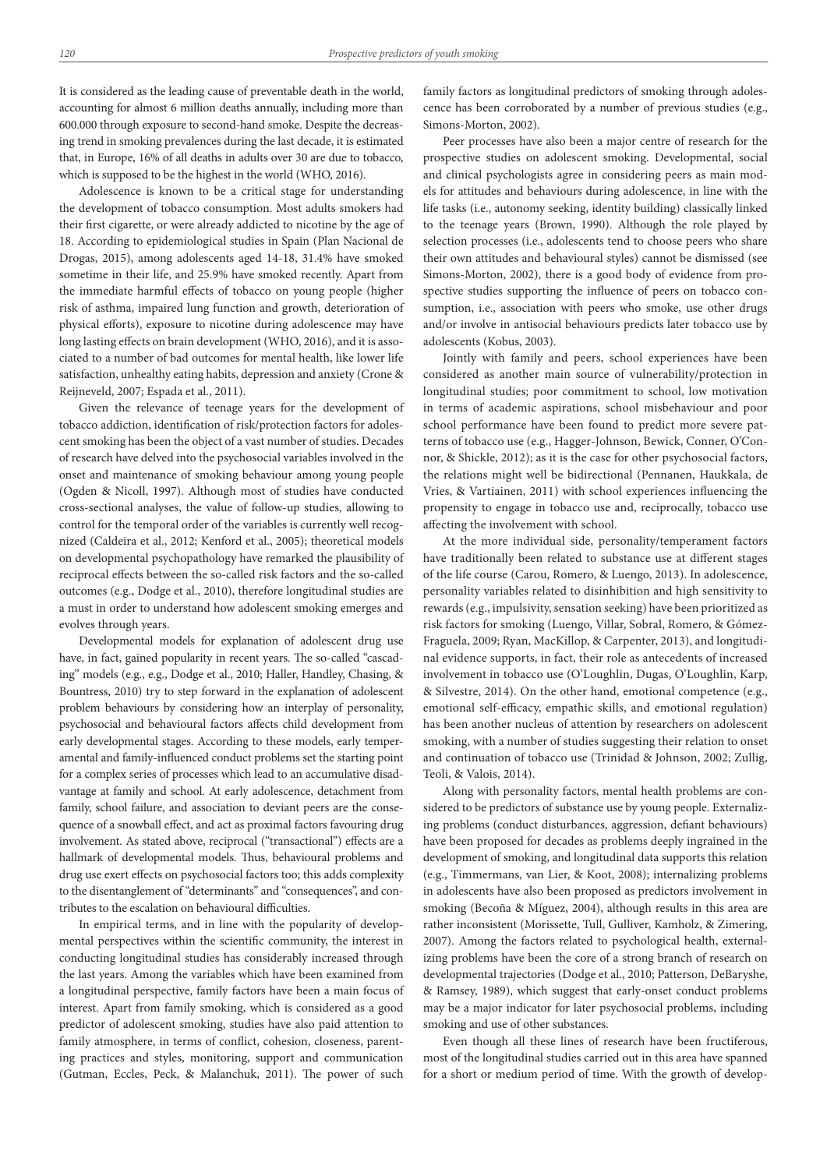It is considered as the leading cause of preventable death in the world, accounting for almost 6 million deaths annually, including more than 600.000 through exposure to second-hand smoke. Despite the decreasing trend in smoking prevalences during the last decade, it is estimated that, in Europe, 16% of all deaths in adults over 30 are due to tobacco, which is supposed to be the highest in the world (WHO, 2016).

Adolescence is known to be a critical stage for understanding the development of tobacco consumption. Most adults smokers had their first cigarette, or were already addicted to nicotine by the age of 18. According to epidemiological studies in Spain (Plan Nacional de Drogas, 2015), among adolescents aged 14-18, 31.4% have smoked sometime in their life, and 25.9% have smoked recently. Apart from the immediate harmful effects of tobacco on young people (higher risk of asthma, impaired lung function and growth, deterioration of physical efforts), exposure to nicotine during adolescence may have long lasting effects on brain development (WHO, 2016), and it is associated to a number of bad outcomes for mental health, like lower life satisfaction, unhealthy eating habits, depression and anxiety (Crone & Reijneveld, 2007; Espada et al., 2011).

Given the relevance of teenage years for the development of tobacco addiction, identification of risk/protection factors for adolescent smoking has been the object of a vast number of studies. Decades of research have delved into the psychosocial variables involved in the onset and maintenance of smoking behaviour among young people (Ogden & Nicoll, 1997). Although most of studies have conducted cross-sectional analyses, the value of follow-up studies, allowing to control for the temporal order of the variables is currently well recognized (Caldeira et al., 2012; Kenford et al., 2005); theoretical models on developmental psychopathology have remarked the plausibility of reciprocal effects between the so-called risk factors and the so-called outcomes (e.g., Dodge et al., 2010), therefore longitudinal studies are a must in order to understand how adolescent smoking emerges and evolves through years.

Developmental models for explanation of adolescent drug use have, in fact, gained popularity in recent years. The so-called "cascading" models (e.g., e.g., Dodge et al., 2010; Haller, Handley, Chasing, & Bountress, 2010) try to step forward in the explanation of adolescent problem behaviours by considering how an interplay of personality, psychosocial and behavioural factors affects child development from early developmental stages. According to these models, early temperamental and family-influenced conduct problems set the starting point for a complex series of processes which lead to an accumulative disadvantage at family and school. At early adolescence, detachment from family, school failure, and association to deviant peers are the consequence of a snowball effect, and act as proximal factors favouring drug involvement. As stated above, reciprocal ("transactional") effects are a hallmark of developmental models. Thus, behavioural problems and drug use exert effects on psychosocial factors too; this adds complexity to the disentanglement of "determinants" and "consequences", and contributes to the escalation on behavioural difficulties.

In empirical terms, and in line with the popularity of developmental perspectives within the scientific community, the interest in conducting longitudinal studies has considerably increased through the last years. Among the variables which have been examined from a longitudinal perspective, family factors have been a main focus of interest. Apart from family smoking, which is considered as a good predictor of adolescent smoking, studies have also paid attention to family atmosphere, in terms of conflict, cohesion, closeness, parenting practices and styles, monitoring, support and communication (Gutman, Eccles, Peck, & Malanchuk, 2011). The power of such family factors as longitudinal predictors of smoking through adolescence has been corroborated by a number of previous studies (e.g., Simons-Morton, 2002).

Peer processes have also been a major centre of research for the prospective studies on adolescent smoking. Developmental, social and clinical psychologists agree in considering peers as main models for attitudes and behaviours during adolescence, in line with the life tasks (i.e., autonomy seeking, identity building) classically linked to the teenage years (Brown, 1990). Although the role played by selection processes (i.e., adolescents tend to choose peers who share their own attitudes and behavioural styles) cannot be dismissed (see Simons-Morton, 2002), there is a good body of evidence from prospective studies supporting the influence of peers on tobacco consumption, i.e., association with peers who smoke, use other drugs and/or involve in antisocial behaviours predicts later tobacco use by adolescents (Kobus, 2003).

Jointly with family and peers, school experiences have been considered as another main source of vulnerability/protection in longitudinal studies; poor commitment to school, low motivation in terms of academic aspirations, school misbehaviour and poor school performance have been found to predict more severe patterns of tobacco use (e.g., Hagger-Johnson, Bewick, Conner, O'Connor, & Shickle, 2012); as it is the case for other psychosocial factors, the relations might well be bidirectional (Pennanen, Haukkala, de Vries, & Vartiainen, 2011) with school experiences influencing the propensity to engage in tobacco use and, reciprocally, tobacco use affecting the involvement with school.

At the more individual side, personality/temperament factors have traditionally been related to substance use at different stages of the life course (Carou, Romero, & Luengo, 2013). In adolescence, personality variables related to disinhibition and high sensitivity to rewards (e.g., impulsivity, sensation seeking) have been prioritized as risk factors for smoking (Luengo, Villar, Sobral, Romero, & Gómez-Fraguela, 2009; Ryan, MacKillop, & Carpenter, 2013), and longitudinal evidence supports, in fact, their role as antecedents of increased involvement in tobacco use (O'Loughlin, Dugas, O'Loughlin, Karp, & Silvestre, 2014). On the other hand, emotional competence (e.g., emotional self-efficacy, empathic skills, and emotional regulation) has been another nucleus of attention by researchers on adolescent smoking, with a number of studies suggesting their relation to onset and continuation of tobacco use (Trinidad & Johnson, 2002; Zullig, Teoli, & Valois, 2014).

Along with personality factors, mental health problems are considered to be predictors of substance use by young people. Externalizing problems (conduct disturbances, aggression, defiant behaviours) have been proposed for decades as problems deeply ingrained in the development of smoking, and longitudinal data supports this relation (e.g., Timmermans, van Lier, & Koot, 2008); internalizing problems in adolescents have also been proposed as predictors involvement in smoking (Becoña & Míguez, 2004), although results in this area are rather inconsistent (Morissette, Tull, Gulliver, Kamholz, & Zimering, 2007). Among the factors related to psychological health, externalizing problems have been the core of a strong branch of research on developmental trajectories (Dodge et al., 2010; Patterson, DeBaryshe, & Ramsey, 1989), which suggest that early-onset conduct problems may be a major indicator for later psychosocial problems, including smoking and use of other substances.

Even though all these lines of research have been fructiferous, most of the longitudinal studies carried out in this area have spanned for a short or medium period of time. With the growth of develop-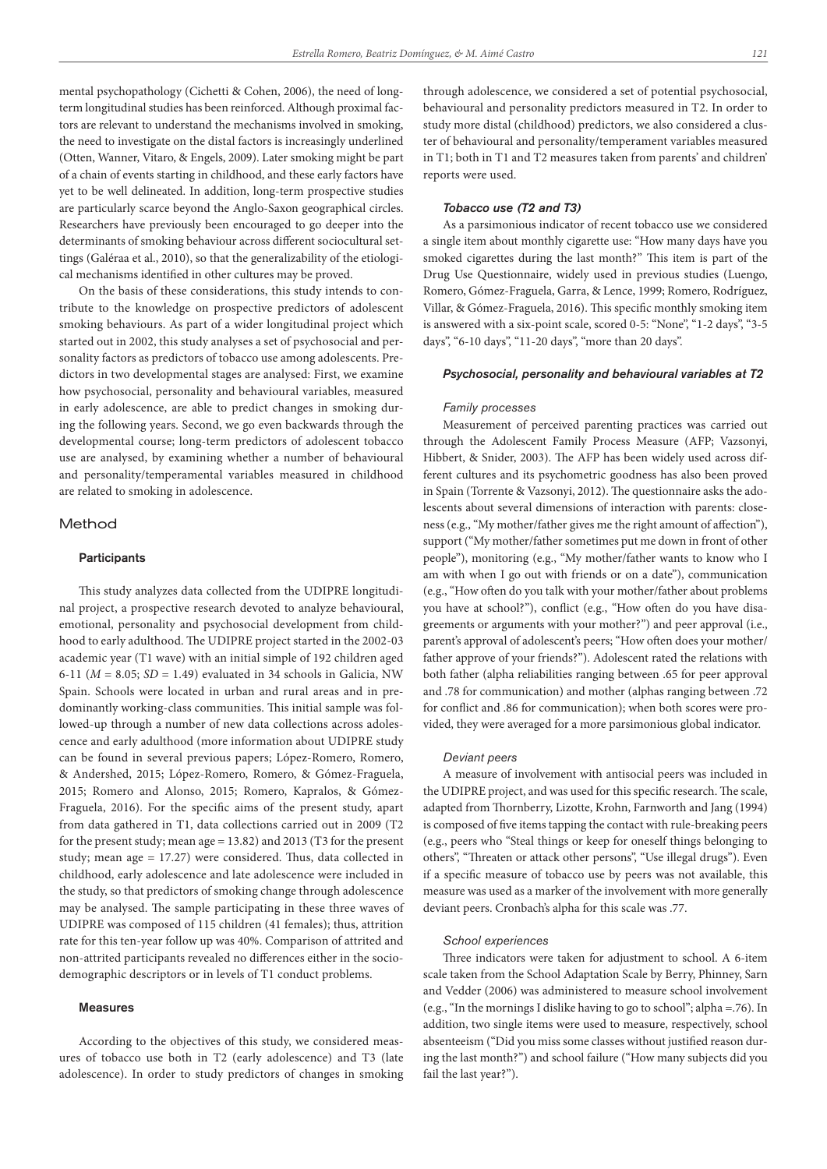mental psychopathology (Cichetti & Cohen, 2006), the need of longterm longitudinal studies has been reinforced. Although proximal factors are relevant to understand the mechanisms involved in smoking, the need to investigate on the distal factors is increasingly underlined (Otten, Wanner, Vitaro, & Engels, 2009). Later smoking might be part of a chain of events starting in childhood, and these early factors have yet to be well delineated. In addition, long-term prospective studies are particularly scarce beyond the Anglo-Saxon geographical circles. Researchers have previously been encouraged to go deeper into the determinants of smoking behaviour across different sociocultural settings (Galéraa et al., 2010), so that the generalizability of the etiological mechanisms identified in other cultures may be proved.

On the basis of these considerations, this study intends to contribute to the knowledge on prospective predictors of adolescent smoking behaviours. As part of a wider longitudinal project which started out in 2002, this study analyses a set of psychosocial and personality factors as predictors of tobacco use among adolescents. Predictors in two developmental stages are analysed: First, we examine how psychosocial, personality and behavioural variables, measured in early adolescence, are able to predict changes in smoking during the following years. Second, we go even backwards through the developmental course; long-term predictors of adolescent tobacco use are analysed, by examining whether a number of behavioural and personality/temperamental variables measured in childhood are related to smoking in adolescence.

## Method

## **Participants**

This study analyzes data collected from the UDIPRE longitudinal project, a prospective research devoted to analyze behavioural, emotional, personality and psychosocial development from childhood to early adulthood. The UDIPRE project started in the 2002-03 academic year (T1 wave) with an initial simple of 192 children aged 6-11 (*M* = 8.05; *SD* = 1.49) evaluated in 34 schools in Galicia, NW Spain. Schools were located in urban and rural areas and in predominantly working-class communities. This initial sample was followed-up through a number of new data collections across adolescence and early adulthood (more information about UDIPRE study can be found in several previous papers; López-Romero, Romero, & Andershed, 2015; López-Romero, Romero, & Gómez-Fraguela, 2015; Romero and Alonso, 2015; Romero, Kapralos, & Gómez-Fraguela, 2016). For the specific aims of the present study, apart from data gathered in T1, data collections carried out in 2009 (T2 for the present study; mean age = 13.82) and 2013 (T3 for the present study; mean age = 17.27) were considered. Thus, data collected in childhood, early adolescence and late adolescence were included in the study, so that predictors of smoking change through adolescence may be analysed. The sample participating in these three waves of UDIPRE was composed of 115 children (41 females); thus, attrition rate for this ten-year follow up was 40%. Comparison of attrited and non-attrited participants revealed no differences either in the sociodemographic descriptors or in levels of T1 conduct problems.

#### Measures

According to the objectives of this study, we considered measures of tobacco use both in T2 (early adolescence) and T3 (late adolescence). In order to study predictors of changes in smoking

through adolescence, we considered a set of potential psychosocial, behavioural and personality predictors measured in T2. In order to study more distal (childhood) predictors, we also considered a cluster of behavioural and personality/temperament variables measured in T1; both in T1 and T2 measures taken from parents' and children' reports were used.

## *Tobacco use (T2 and T3)*

As a parsimonious indicator of recent tobacco use we considered a single item about monthly cigarette use: "How many days have you smoked cigarettes during the last month?" This item is part of the Drug Use Questionnaire, widely used in previous studies (Luengo, Romero, Gómez-Fraguela, Garra, & Lence, 1999; Romero, Rodríguez, Villar, & Gómez-Fraguela, 2016). This specific monthly smoking item is answered with a six-point scale, scored 0-5: "None", "1-2 days", "3-5 days", "6-10 days", "11-20 days", "more than 20 days".

## *Psychosocial, personality and behavioural variables at T2*

#### *Family processes*

Measurement of perceived parenting practices was carried out through the Adolescent Family Process Measure (AFP; Vazsonyi, Hibbert, & Snider, 2003). The AFP has been widely used across different cultures and its psychometric goodness has also been proved in Spain (Torrente & Vazsonyi, 2012). The questionnaire asks the adolescents about several dimensions of interaction with parents: closeness (e.g., "My mother/father gives me the right amount of affection"), support ("My mother/father sometimes put me down in front of other people"), monitoring (e.g., "My mother/father wants to know who I am with when I go out with friends or on a date"), communication (e.g., "How often do you talk with your mother/father about problems you have at school?"), conflict (e.g., "How often do you have disagreements or arguments with your mother?") and peer approval (i.e., parent's approval of adolescent's peers; "How often does your mother/ father approve of your friends?"). Adolescent rated the relations with both father (alpha reliabilities ranging between .65 for peer approval and .78 for communication) and mother (alphas ranging between .72 for conflict and .86 for communication); when both scores were provided, they were averaged for a more parsimonious global indicator.

#### *Deviant peers*

A measure of involvement with antisocial peers was included in the UDIPRE project, and was used for this specific research. The scale, adapted from Thornberry, Lizotte, Krohn, Farnworth and Jang (1994) is composed of five items tapping the contact with rule-breaking peers (e.g., peers who "Steal things or keep for oneself things belonging to others", "Threaten or attack other persons", "Use illegal drugs"). Even if a specific measure of tobacco use by peers was not available, this measure was used as a marker of the involvement with more generally deviant peers. Cronbach's alpha for this scale was .77.

#### *School experiences*

Three indicators were taken for adjustment to school. A 6-item scale taken from the School Adaptation Scale by Berry, Phinney, Sarn and Vedder (2006) was administered to measure school involvement (e.g., "In the mornings I dislike having to go to school"; alpha =.76). In addition, two single items were used to measure, respectively, school absenteeism ("Did you miss some classes without justified reason during the last month?") and school failure ("How many subjects did you fail the last year?").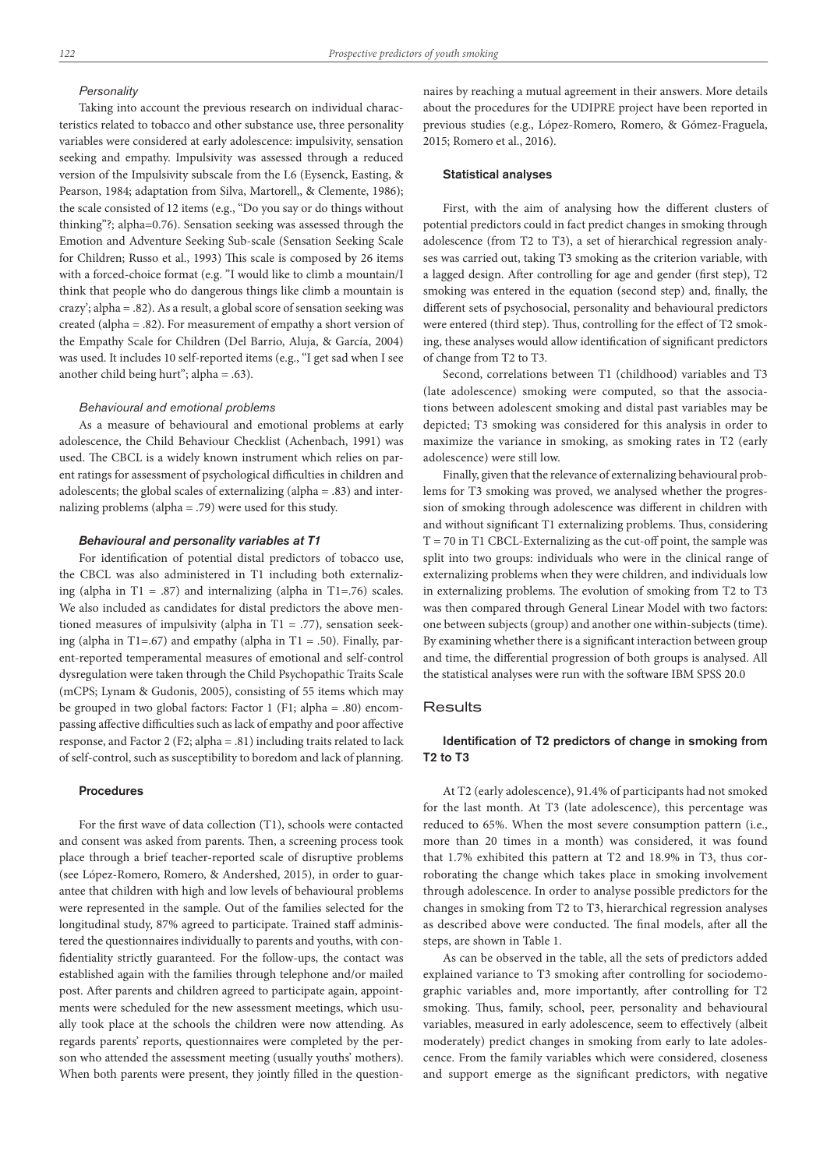#### *Personality*

Taking into account the previous research on individual characteristics related to tobacco and other substance use, three personality variables were considered at early adolescence: impulsivity, sensation seeking and empathy. Impulsivity was assessed through a reduced version of the Impulsivity subscale from the I.6 (Eysenck, Easting, & Pearson, 1984; adaptation from Silva, Martorell,, & Clemente, 1986); the scale consisted of 12 items (e.g., "Do you say or do things without thinking"?; alpha=0.76). Sensation seeking was assessed through the Emotion and Adventure Seeking Sub-scale (Sensation Seeking Scale for Children; Russo et al., 1993) This scale is composed by 26 items with a forced-choice format (e.g. "I would like to climb a mountain/I think that people who do dangerous things like climb a mountain is crazy'; alpha = .82). As a result, a global score of sensation seeking was created (alpha = .82). For measurement of empathy a short version of the Empathy Scale for Children (Del Barrio, Aluja, & García, 2004) was used. It includes 10 self-reported items (e.g., "I get sad when I see another child being hurt''; alpha = .63).

#### *Behavioural and emotional problems*

As a measure of behavioural and emotional problems at early adolescence, the Child Behaviour Checklist (Achenbach, 1991) was used. The CBCL is a widely known instrument which relies on parent ratings for assessment of psychological difficulties in children and adolescents; the global scales of externalizing (alpha = .83) and internalizing problems (alpha = .79) were used for this study.

## *Behavioural and personality variables at T1*

For identification of potential distal predictors of tobacco use, the CBCL was also administered in T1 including both externalizing (alpha in T1 = .87) and internalizing (alpha in T1=.76) scales. We also included as candidates for distal predictors the above mentioned measures of impulsivity (alpha in T1 = .77), sensation seeking (alpha in T1=.67) and empathy (alpha in T1 = .50). Finally, parent-reported temperamental measures of emotional and self-control dysregulation were taken through the Child Psychopathic Traits Scale (mCPS; Lynam & Gudonis, 2005), consisting of 55 items which may be grouped in two global factors: Factor 1 (F1; alpha = .80) encompassing affective difficulties such as lack of empathy and poor affective response, and Factor 2 (F2; alpha = .81) including traits related to lack of self-control, such as susceptibility to boredom and lack of planning.

## Procedures

For the first wave of data collection (T1), schools were contacted and consent was asked from parents. Then, a screening process took place through a brief teacher-reported scale of disruptive problems (see López-Romero, Romero, & Andershed, 2015), in order to guarantee that children with high and low levels of behavioural problems were represented in the sample. Out of the families selected for the longitudinal study, 87% agreed to participate. Trained staff administered the questionnaires individually to parents and youths, with confidentiality strictly guaranteed. For the follow-ups, the contact was established again with the families through telephone and/or mailed post. After parents and children agreed to participate again, appointments were scheduled for the new assessment meetings, which usually took place at the schools the children were now attending. As regards parents' reports, questionnaires were completed by the person who attended the assessment meeting (usually youths' mothers). When both parents were present, they jointly filled in the questionnaires by reaching a mutual agreement in their answers. More details about the procedures for the UDIPRE project have been reported in previous studies (e.g., López-Romero, Romero, & Gómez-Fraguela, 2015; Romero et al., 2016).

## Statistical analyses

First, with the aim of analysing how the different clusters of potential predictors could in fact predict changes in smoking through adolescence (from T2 to T3), a set of hierarchical regression analyses was carried out, taking T3 smoking as the criterion variable, with a lagged design. After controlling for age and gender (first step), T2 smoking was entered in the equation (second step) and, finally, the different sets of psychosocial, personality and behavioural predictors were entered (third step). Thus, controlling for the effect of T2 smoking, these analyses would allow identification of significant predictors of change from T2 to T3.

Second, correlations between T1 (childhood) variables and T3 (late adolescence) smoking were computed, so that the associations between adolescent smoking and distal past variables may be depicted; T3 smoking was considered for this analysis in order to maximize the variance in smoking, as smoking rates in T2 (early adolescence) were still low.

Finally, given that the relevance of externalizing behavioural problems for T3 smoking was proved, we analysed whether the progression of smoking through adolescence was different in children with and without significant T1 externalizing problems. Thus, considering  $T = 70$  in T1 CBCL-Externalizing as the cut-off point, the sample was split into two groups: individuals who were in the clinical range of externalizing problems when they were children, and individuals low in externalizing problems. The evolution of smoking from T2 to T3 was then compared through General Linear Model with two factors: one between subjects (group) and another one within-subjects (time). By examining whether there is a significant interaction between group and time, the differential progression of both groups is analysed. All the statistical analyses were run with the software IBM SPSS 20.0

## **Results**

## Identification of T2 predictors of change in smoking from T2 to T3

At T2 (early adolescence), 91.4% of participants had not smoked for the last month. At T3 (late adolescence), this percentage was reduced to 65%. When the most severe consumption pattern (i.e., more than 20 times in a month) was considered, it was found that 1.7% exhibited this pattern at T2 and 18.9% in T3, thus corroborating the change which takes place in smoking involvement through adolescence. In order to analyse possible predictors for the changes in smoking from T2 to T3, hierarchical regression analyses as described above were conducted. The final models, after all the steps, are shown in Table 1.

As can be observed in the table, all the sets of predictors added explained variance to T3 smoking after controlling for sociodemographic variables and, more importantly, after controlling for T2 smoking. Thus, family, school, peer, personality and behavioural variables, measured in early adolescence, seem to effectively (albeit moderately) predict changes in smoking from early to late adolescence. From the family variables which were considered, closeness and support emerge as the significant predictors, with negative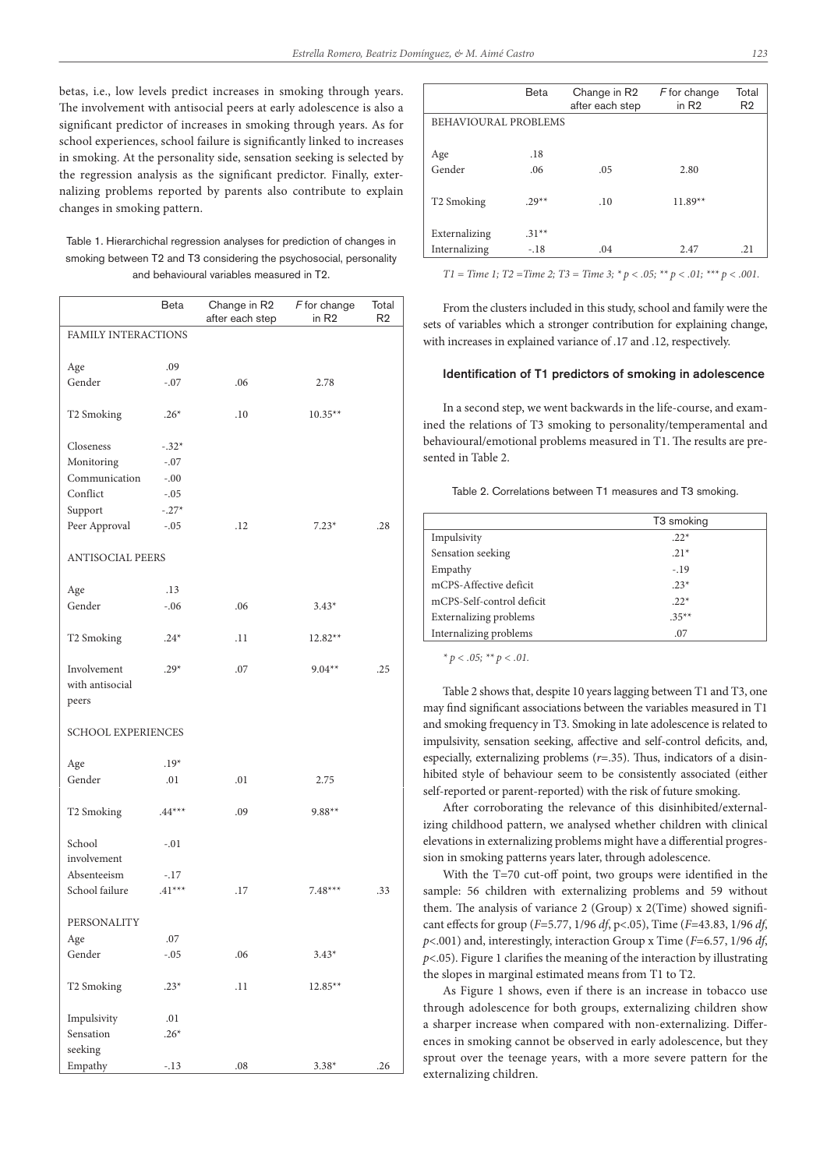betas, i.e., low levels predict increases in smoking through years. The involvement with antisocial peers at early adolescence is also a significant predictor of increases in smoking through years. As for school experiences, school failure is significantly linked to increases in smoking. At the personality side, sensation seeking is selected by the regression analysis as the significant predictor. Finally, externalizing problems reported by parents also contribute to explain changes in smoking pattern.

Table 1. Hierarchichal regression analyses for prediction of changes in smoking between T2 and T3 considering the psychosocial, personality and behavioural variables measured in T2.

|                                         | Beta     | Change in R2<br>after each step | $F$ for change<br>in R <sub>2</sub> | Total<br>R <sub>2</sub> |  |  |
|-----------------------------------------|----------|---------------------------------|-------------------------------------|-------------------------|--|--|
| FAMILY INTERACTIONS                     |          |                                 |                                     |                         |  |  |
| Age                                     | .09      |                                 |                                     |                         |  |  |
| Gender                                  | $-.07$   | .06                             | 2.78                                |                         |  |  |
| T2 Smoking                              | $.26*$   | .10                             | $10.35**$                           |                         |  |  |
| Closeness                               | $-.32*$  |                                 |                                     |                         |  |  |
| Monitoring                              | $-.07$   |                                 |                                     |                         |  |  |
| Communication                           | $-.00$   |                                 |                                     |                         |  |  |
| Conflict                                | $-.05$   |                                 |                                     |                         |  |  |
| Support                                 | $-.27*$  |                                 |                                     |                         |  |  |
| Peer Approval                           | $-.05$   | .12                             | $7.23*$                             | .28                     |  |  |
| <b>ANTISOCIAL PEERS</b>                 |          |                                 |                                     |                         |  |  |
| Age                                     | .13      |                                 |                                     |                         |  |  |
| Gender                                  | $-.06$   | .06                             | $3.43*$                             |                         |  |  |
| T2 Smoking                              | $.24*$   | .11                             | 12.82**                             |                         |  |  |
| Involvement<br>with antisocial<br>peers | $.29*$   | .07                             | $9.04**$                            | .25                     |  |  |
| <b>SCHOOL EXPERIENCES</b>               |          |                                 |                                     |                         |  |  |
|                                         | $.19*$   |                                 |                                     |                         |  |  |
| Age                                     |          |                                 |                                     |                         |  |  |
| Gender                                  | .01      | .01                             | 2.75                                |                         |  |  |
| T2 Smoking                              | $.44***$ | .09                             | $9.88**$                            |                         |  |  |
| School<br>involvement                   | $-.01$   |                                 |                                     |                         |  |  |
| Absenteeism                             | $-.17$   |                                 |                                     |                         |  |  |
| School failure                          | $.41***$ | .17                             | $7.48***$                           | .33                     |  |  |
| PERSONALITY                             |          |                                 |                                     |                         |  |  |
| Age                                     | .07      |                                 |                                     |                         |  |  |
| Gender                                  | $-.05$   | .06                             | $3.43*$                             |                         |  |  |
| T2 Smoking                              | $.23*$   | .11                             | $12.85**$                           |                         |  |  |
| Impulsivity                             | .01      |                                 |                                     |                         |  |  |
| Sensation                               | $.26*$   |                                 |                                     |                         |  |  |
| seeking                                 |          |                                 |                                     |                         |  |  |
| Empathy                                 | $-.13$   | .08                             | $3.38*$                             | .26                     |  |  |

|                        | <b>Beta</b> | Change in R2<br>after each step | F for change<br>in $R2$ | Total<br>R <sub>2</sub> |  |
|------------------------|-------------|---------------------------------|-------------------------|-------------------------|--|
| BEHAVIOURAL PROBLEMS   |             |                                 |                         |                         |  |
|                        |             |                                 |                         |                         |  |
| Age                    | .18         |                                 |                         |                         |  |
| Gender                 | .06         | .05                             | 2.80                    |                         |  |
|                        |             |                                 |                         |                         |  |
| T <sub>2</sub> Smoking | $.29**$     | .10                             | $11.89**$               |                         |  |
|                        |             |                                 |                         |                         |  |
| Externalizing          | $.31**$     |                                 |                         |                         |  |
| Internalizing          | $-.18$      | .04                             | 2.47                    | .21                     |  |

*T1 = Time 1; T2 =Time 2; T3 = Time 3; \* p < .05; \*\* p < .01; \*\*\* p < .001.*

From the clusters included in this study, school and family were the sets of variables which a stronger contribution for explaining change, with increases in explained variance of .17 and .12, respectively.

## Identification of T1 predictors of smoking in adolescence

In a second step, we went backwards in the life-course, and examined the relations of T3 smoking to personality/temperamental and behavioural/emotional problems measured in T1. The results are presented in Table 2.

Table 2. Correlations between T1 measures and T3 smoking.

|                           | T <sub>3</sub> smoking |
|---------------------------|------------------------|
| Impulsivity               | $.22*$                 |
| Sensation seeking         | $.21*$                 |
| Empathy                   | $-19$                  |
| mCPS-Affective deficit    | $.23*$                 |
| mCPS-Self-control deficit | $.22*$                 |
| Externalizing problems    | $.35***$               |
| Internalizing problems    | .07                    |

*\* p < .05; \*\* p < .01.*

Table 2 shows that, despite 10 years lagging between T1 and T3, one may find significant associations between the variables measured in T1 and smoking frequency in T3. Smoking in late adolescence is related to impulsivity, sensation seeking, affective and self-control deficits, and, especially, externalizing problems (*r*=.35). Thus, indicators of a disinhibited style of behaviour seem to be consistently associated (either self-reported or parent-reported) with the risk of future smoking.

After corroborating the relevance of this disinhibited/externalizing childhood pattern, we analysed whether children with clinical elevations in externalizing problems might have a differential progression in smoking patterns years later, through adolescence.

With the T=70 cut-off point, two groups were identified in the sample: 56 children with externalizing problems and 59 without them. The analysis of variance 2 (Group) x 2(Time) showed significant effects for group (*F*=5.77, 1/96 *df*, p<.05), Time (*F*=43.83, 1/96 *df*, *p*<.001) and, interestingly, interaction Group x Time (*F*=6.57, 1/96 *df*, *p*<.05). Figure 1 clarifies the meaning of the interaction by illustrating the slopes in marginal estimated means from T1 to T2.

As Figure 1 shows, even if there is an increase in tobacco use through adolescence for both groups, externalizing children show a sharper increase when compared with non-externalizing. Differences in smoking cannot be observed in early adolescence, but they sprout over the teenage years, with a more severe pattern for the externalizing children.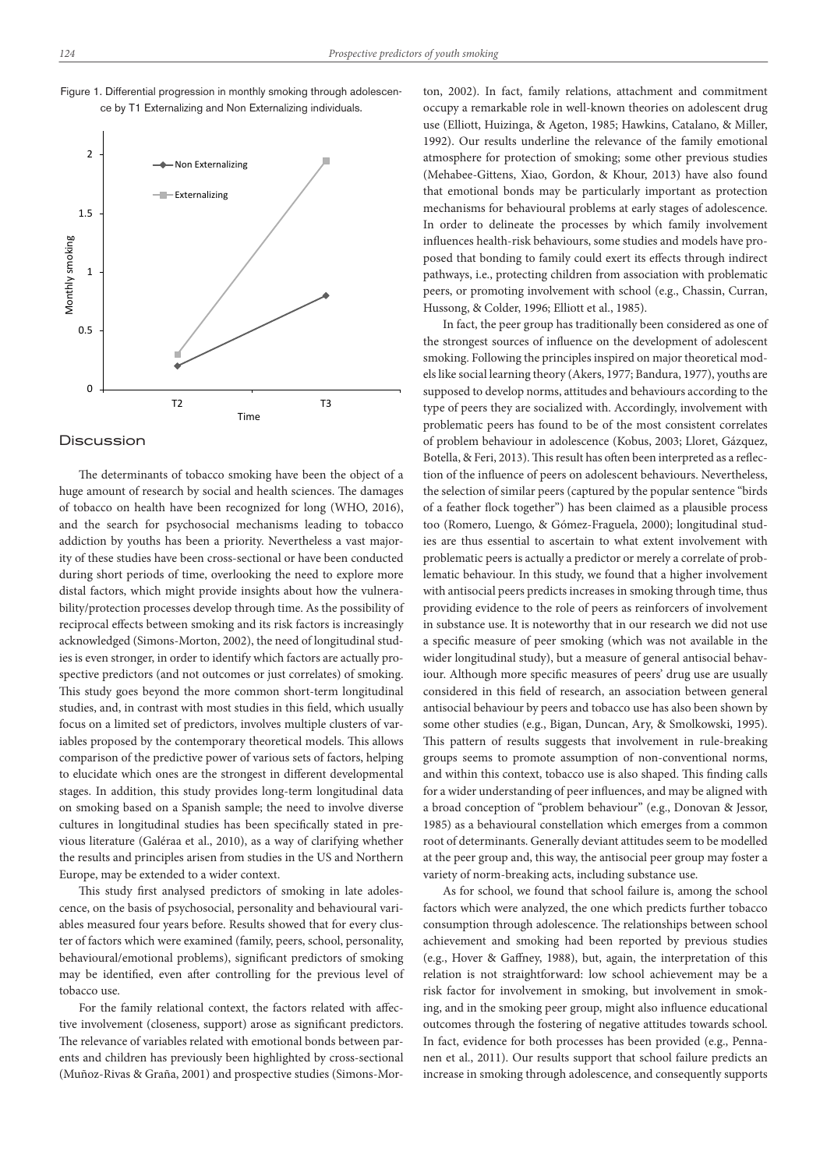

## Figure 1. Differential progression in monthly smoking through adolescence by T1 Externalizing and Non Externalizing individuals.

## **Discussion**

The determinants of tobacco smoking have been the object of a huge amount of research by social and health sciences. The damages of tobacco on health have been recognized for long (WHO, 2016), and the search for psychosocial mechanisms leading to tobacco addiction by youths has been a priority. Nevertheless a vast majority of these studies have been cross-sectional or have been conducted during short periods of time, overlooking the need to explore more distal factors, which might provide insights about how the vulnerability/protection processes develop through time. As the possibility of reciprocal effects between smoking and its risk factors is increasingly acknowledged (Simons-Morton, 2002), the need of longitudinal studies is even stronger, in order to identify which factors are actually prospective predictors (and not outcomes or just correlates) of smoking. This study goes beyond the more common short-term longitudinal studies, and, in contrast with most studies in this field, which usually focus on a limited set of predictors, involves multiple clusters of variables proposed by the contemporary theoretical models. This allows comparison of the predictive power of various sets of factors, helping to elucidate which ones are the strongest in different developmental stages. In addition, this study provides long-term longitudinal data on smoking based on a Spanish sample; the need to involve diverse cultures in longitudinal studies has been specifically stated in previous literature (Galéraa et al., 2010), as a way of clarifying whether the results and principles arisen from studies in the US and Northern Europe, may be extended to a wider context.

This study first analysed predictors of smoking in late adolescence, on the basis of psychosocial, personality and behavioural variables measured four years before. Results showed that for every cluster of factors which were examined (family, peers, school, personality, behavioural/emotional problems), significant predictors of smoking may be identified, even after controlling for the previous level of tobacco use.

For the family relational context, the factors related with affective involvement (closeness, support) arose as significant predictors. The relevance of variables related with emotional bonds between parents and children has previously been highlighted by cross-sectional (Muñoz-Rivas & Graña, 2001) and prospective studies (Simons-Morton, 2002). In fact, family relations, attachment and commitment occupy a remarkable role in well-known theories on adolescent drug use (Elliott, Huizinga, & Ageton, 1985; Hawkins, Catalano, & Miller, 1992). Our results underline the relevance of the family emotional atmosphere for protection of smoking; some other previous studies (Mehabee-Gittens, Xiao, Gordon, & Khour, 2013) have also found that emotional bonds may be particularly important as protection mechanisms for behavioural problems at early stages of adolescence. In order to delineate the processes by which family involvement influences health-risk behaviours, some studies and models have proposed that bonding to family could exert its effects through indirect pathways, i.e., protecting children from association with problematic peers, or promoting involvement with school (e.g., Chassin, Curran, Hussong, & Colder, 1996; Elliott et al., 1985).

In fact, the peer group has traditionally been considered as one of the strongest sources of influence on the development of adolescent smoking. Following the principles inspired on major theoretical models like social learning theory (Akers, 1977; Bandura, 1977), youths are supposed to develop norms, attitudes and behaviours according to the type of peers they are socialized with. Accordingly, involvement with problematic peers has found to be of the most consistent correlates of problem behaviour in adolescence (Kobus, 2003; Lloret, Gázquez, Botella, & Feri, 2013). This result has often been interpreted as a reflection of the influence of peers on adolescent behaviours. Nevertheless, the selection of similar peers (captured by the popular sentence "birds of a feather flock together") has been claimed as a plausible process too (Romero, Luengo, & Gómez-Fraguela, 2000); longitudinal studies are thus essential to ascertain to what extent involvement with problematic peers is actually a predictor or merely a correlate of problematic behaviour. In this study, we found that a higher involvement with antisocial peers predicts increases in smoking through time, thus providing evidence to the role of peers as reinforcers of involvement in substance use. It is noteworthy that in our research we did not use a specific measure of peer smoking (which was not available in the wider longitudinal study), but a measure of general antisocial behaviour. Although more specific measures of peers' drug use are usually considered in this field of research, an association between general antisocial behaviour by peers and tobacco use has also been shown by some other studies (e.g., Bigan, Duncan, Ary, & Smolkowski, 1995). This pattern of results suggests that involvement in rule-breaking groups seems to promote assumption of non-conventional norms, and within this context, tobacco use is also shaped. This finding calls for a wider understanding of peer influences, and may be aligned with a broad conception of "problem behaviour" (e.g., Donovan & Jessor, 1985) as a behavioural constellation which emerges from a common root of determinants. Generally deviant attitudes seem to be modelled at the peer group and, this way, the antisocial peer group may foster a variety of norm-breaking acts, including substance use.

As for school, we found that school failure is, among the school factors which were analyzed, the one which predicts further tobacco consumption through adolescence. The relationships between school achievement and smoking had been reported by previous studies (e.g., Hover & Gaffney, 1988), but, again, the interpretation of this relation is not straightforward: low school achievement may be a risk factor for involvement in smoking, but involvement in smoking, and in the smoking peer group, might also influence educational outcomes through the fostering of negative attitudes towards school. In fact, evidence for both processes has been provided (e.g., Pennanen et al., 2011). Our results support that school failure predicts an increase in smoking through adolescence, and consequently supports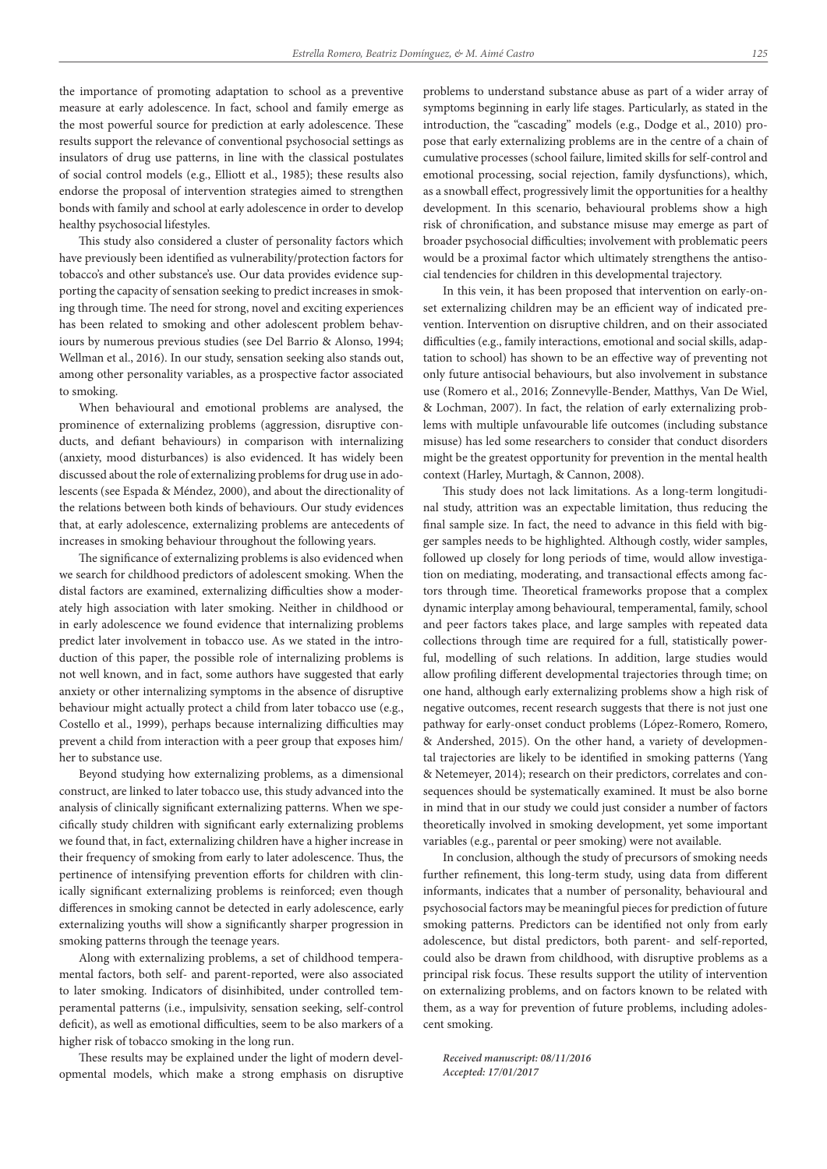the importance of promoting adaptation to school as a preventive measure at early adolescence. In fact, school and family emerge as the most powerful source for prediction at early adolescence. These results support the relevance of conventional psychosocial settings as insulators of drug use patterns, in line with the classical postulates of social control models (e.g., Elliott et al., 1985); these results also endorse the proposal of intervention strategies aimed to strengthen bonds with family and school at early adolescence in order to develop healthy psychosocial lifestyles.

This study also considered a cluster of personality factors which have previously been identified as vulnerability/protection factors for tobacco's and other substance's use. Our data provides evidence supporting the capacity of sensation seeking to predict increases in smoking through time. The need for strong, novel and exciting experiences has been related to smoking and other adolescent problem behaviours by numerous previous studies (see Del Barrio & Alonso, 1994; Wellman et al., 2016). In our study, sensation seeking also stands out, among other personality variables, as a prospective factor associated to smoking.

When behavioural and emotional problems are analysed, the prominence of externalizing problems (aggression, disruptive conducts, and defiant behaviours) in comparison with internalizing (anxiety, mood disturbances) is also evidenced. It has widely been discussed about the role of externalizing problems for drug use in adolescents (see Espada & Méndez, 2000), and about the directionality of the relations between both kinds of behaviours. Our study evidences that, at early adolescence, externalizing problems are antecedents of increases in smoking behaviour throughout the following years.

The significance of externalizing problems is also evidenced when we search for childhood predictors of adolescent smoking. When the distal factors are examined, externalizing difficulties show a moderately high association with later smoking. Neither in childhood or in early adolescence we found evidence that internalizing problems predict later involvement in tobacco use. As we stated in the introduction of this paper, the possible role of internalizing problems is not well known, and in fact, some authors have suggested that early anxiety or other internalizing symptoms in the absence of disruptive behaviour might actually protect a child from later tobacco use (e.g., Costello et al., 1999), perhaps because internalizing difficulties may prevent a child from interaction with a peer group that exposes him/ her to substance use.

Beyond studying how externalizing problems, as a dimensional construct, are linked to later tobacco use, this study advanced into the analysis of clinically significant externalizing patterns. When we specifically study children with significant early externalizing problems we found that, in fact, externalizing children have a higher increase in their frequency of smoking from early to later adolescence. Thus, the pertinence of intensifying prevention efforts for children with clinically significant externalizing problems is reinforced; even though differences in smoking cannot be detected in early adolescence, early externalizing youths will show a significantly sharper progression in smoking patterns through the teenage years.

Along with externalizing problems, a set of childhood temperamental factors, both self- and parent-reported, were also associated to later smoking. Indicators of disinhibited, under controlled temperamental patterns (i.e., impulsivity, sensation seeking, self-control deficit), as well as emotional difficulties, seem to be also markers of a higher risk of tobacco smoking in the long run.

These results may be explained under the light of modern developmental models, which make a strong emphasis on disruptive

problems to understand substance abuse as part of a wider array of symptoms beginning in early life stages. Particularly, as stated in the introduction, the "cascading" models (e.g., Dodge et al., 2010) propose that early externalizing problems are in the centre of a chain of cumulative processes (school failure, limited skills for self-control and emotional processing, social rejection, family dysfunctions), which, as a snowball effect, progressively limit the opportunities for a healthy development. In this scenario, behavioural problems show a high risk of chronification, and substance misuse may emerge as part of broader psychosocial difficulties; involvement with problematic peers would be a proximal factor which ultimately strengthens the antisocial tendencies for children in this developmental trajectory.

In this vein, it has been proposed that intervention on early-onset externalizing children may be an efficient way of indicated prevention. Intervention on disruptive children, and on their associated difficulties (e.g., family interactions, emotional and social skills, adaptation to school) has shown to be an effective way of preventing not only future antisocial behaviours, but also involvement in substance use (Romero et al., 2016; Zonnevylle-Bender, Matthys, Van De Wiel, & Lochman, 2007). In fact, the relation of early externalizing problems with multiple unfavourable life outcomes (including substance misuse) has led some researchers to consider that conduct disorders might be the greatest opportunity for prevention in the mental health context (Harley, Murtagh, & Cannon, 2008).

This study does not lack limitations. As a long-term longitudinal study, attrition was an expectable limitation, thus reducing the final sample size. In fact, the need to advance in this field with bigger samples needs to be highlighted. Although costly, wider samples, followed up closely for long periods of time, would allow investigation on mediating, moderating, and transactional effects among factors through time. Theoretical frameworks propose that a complex dynamic interplay among behavioural, temperamental, family, school and peer factors takes place, and large samples with repeated data collections through time are required for a full, statistically powerful, modelling of such relations. In addition, large studies would allow profiling different developmental trajectories through time; on one hand, although early externalizing problems show a high risk of negative outcomes, recent research suggests that there is not just one pathway for early-onset conduct problems (López-Romero, Romero, & Andershed, 2015). On the other hand, a variety of developmental trajectories are likely to be identified in smoking patterns (Yang & Netemeyer, 2014); research on their predictors, correlates and consequences should be systematically examined. It must be also borne in mind that in our study we could just consider a number of factors theoretically involved in smoking development, yet some important variables (e.g., parental or peer smoking) were not available.

In conclusion, although the study of precursors of smoking needs further refinement, this long-term study, using data from different informants, indicates that a number of personality, behavioural and psychosocial factors may be meaningful pieces for prediction of future smoking patterns. Predictors can be identified not only from early adolescence, but distal predictors, both parent- and self-reported, could also be drawn from childhood, with disruptive problems as a principal risk focus. These results support the utility of intervention on externalizing problems, and on factors known to be related with them, as a way for prevention of future problems, including adolescent smoking.

*Received manuscript: 08/11/2016 Accepted: 17/01/2017*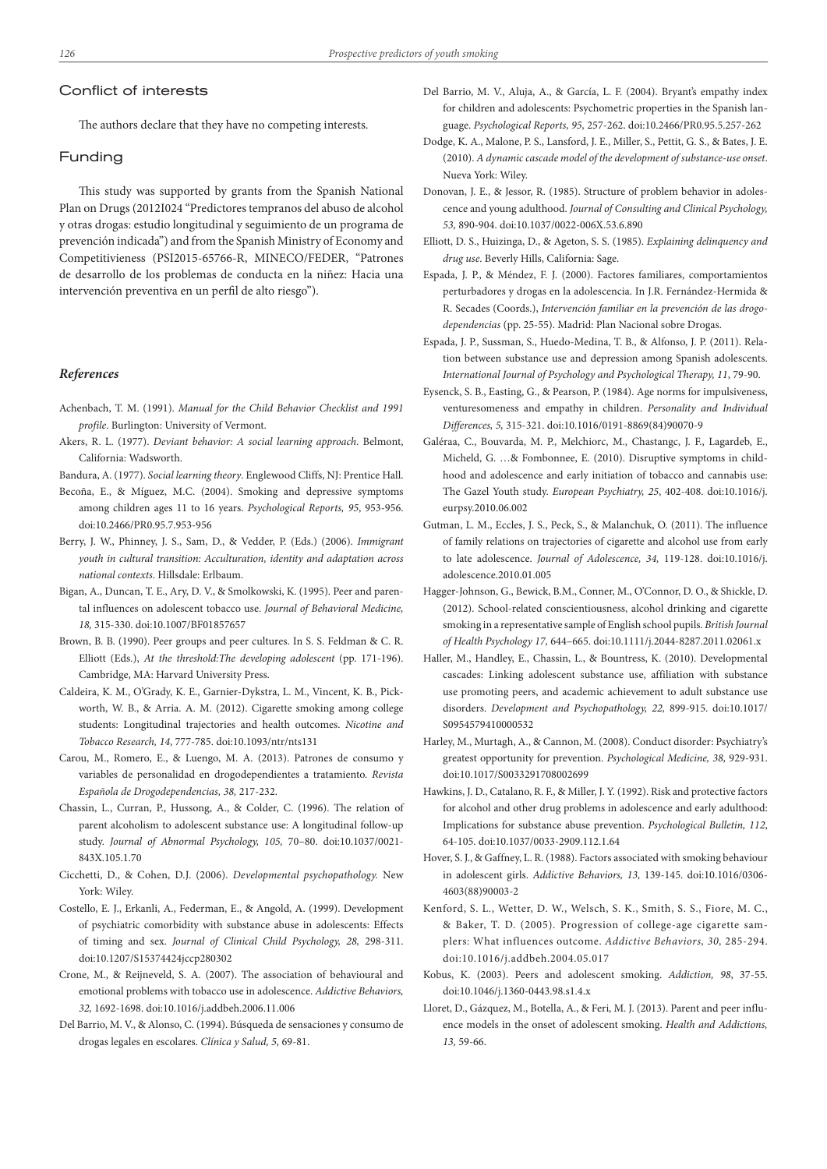## Conflict of interests

The authors declare that they have no competing interests.

## Funding

This study was supported by grants from the Spanish National Plan on Drugs (2012I024 "Predictores tempranos del abuso de alcohol y otras drogas: estudio longitudinal y seguimiento de un programa de prevención indicada") and from the Spanish Ministry of Economy and Competitivieness (PSI2015-65766-R, MINECO/FEDER, "Patrones de desarrollo de los problemas de conducta en la niñez: Hacia una intervención preventiva en un perfil de alto riesgo").

## *References*

- Achenbach, T. M. (1991). *Manual for the Child Behavior Checklist and 1991 profile*. Burlington: University of Vermont.
- Akers, R. L. (1977). *Deviant behavior: A social learning approach*. Belmont, California: Wadsworth.

Bandura, A. (1977). *Social learning theory*. Englewood Cliffs, NJ: Prentice Hall.

- Becoña, E., & Míguez, M.C. (2004). Smoking and depressive symptoms among children ages 11 to 16 years. *Psychological Reports, 95*, 953-956. doi:10.2466/PR0.95.7.953-956
- Berry, J. W., Phinney, J. S., Sam, D., & Vedder, P. (Eds.) (2006). *Immigrant youth in cultural transition: Acculturation, identity and adaptation across national contexts*. Hillsdale: Erlbaum.
- Bigan, A., Duncan, T. E., Ary, D. V., & Smolkowski, K. (1995). Peer and parental influences on adolescent tobacco use. *Journal of Behavioral Medicine, 18,* 315-330. doi:10.1007/BF01857657
- Brown, B. B. (1990). Peer groups and peer cultures. In S. S. Feldman & C. R. Elliott (Eds.), *At the threshold:The developing adolescent* (pp. 171-196). Cambridge, MA: Harvard University Press.
- Caldeira, K. M., O'Grady, K. E., Garnier-Dykstra, L. M., Vincent, K. B., Pickworth, W. B., & Arria. A. M. (2012). Cigarette smoking among college students: Longitudinal trajectories and health outcomes. *Nicotine and Tobacco Research, 14*, 777-785. doi:10.1093/ntr/nts131
- Carou, M., Romero, E., & Luengo, M. A. (2013). Patrones de consumo y variables de personalidad en drogodependientes a tratamiento. *Revista Española de Drogodependencias, 38,* 217-232.
- Chassin, L., Curran, P., Hussong, A., & Colder, C. (1996). The relation of parent alcoholism to adolescent substance use: A longitudinal follow-up study. *Journal of Abnormal Psychology, 105,* 70–80. doi:10.1037/0021- 843X.105.1.70
- Cicchetti, D., & Cohen, D.J. (2006). *Developmental psychopathology.* New York: Wiley.
- Costello, E. J., Erkanli, A., Federman, E., & Angold, A. (1999). Development of psychiatric comorbidity with substance abuse in adolescents: Effects of timing and sex. *Journal of Clinical Child Psychology, 28,* 298-311. doi:10.1207/S15374424jccp280302
- Crone, M., & Reijneveld, S. A. (2007). The association of behavioural and emotional problems with tobacco use in adolescence. *Addictive Behaviors, 32,* 1692-1698. doi:10.1016/j.addbeh.2006.11.006
- Del Barrio, M. V., & Alonso, C. (1994). Búsqueda de sensaciones y consumo de drogas legales en escolares. *Clínica y Salud, 5,* 69-81.
- Del Barrio, M. V., Aluja, A., & García, L. F. (2004). Bryant's empathy index for children and adolescents: Psychometric properties in the Spanish language. *Psychological Reports, 95,* 257-262. doi:10.2466/PR0.95.5.257-262
- Dodge, K. A., Malone, P. S., Lansford, J. E., Miller, S., Pettit, G. S., & Bates, J. E. (2010). *A dynamic cascade model of the development of substance-use onset*. Nueva York: Wiley.
- Donovan, J. E., & Jessor, R. (1985). Structure of problem behavior in adolescence and young adulthood. *Journal of Consulting and Clinical Psychology, 53,* 890-904. doi:10.1037/0022-006X.53.6.890
- Elliott, D. S., Huizinga, D., & Ageton, S. S. (1985). *Explaining delinquency and drug use*. Beverly Hills, California: Sage.
- Espada, J. P., & Méndez, F. J. (2000). Factores familiares, comportamientos perturbadores y drogas en la adolescencia. In J.R. Fernández-Hermida & R. Secades (Coords.), *Intervención familiar en la prevención de las drogodependencias* (pp. 25-55). Madrid: Plan Nacional sobre Drogas.
- Espada, J. P., Sussman, S., Huedo-Medina, T. B., & Alfonso, J. P. (2011). Relation between substance use and depression among Spanish adolescents. *International Journal of Psychology and Psychological Therapy, 11*, 79-90.
- Eysenck, S. B., Easting, G., & Pearson, P. (1984). Age norms for impulsiveness, venturesomeness and empathy in children. *Personality and Individual Differences, 5,* 315-321. doi:10.1016/0191-8869(84)90070-9
- Galéraa, C., Bouvarda, M. P., Melchiorc, M., Chastangc, J. F., Lagardeb, E., Micheld, G. …& Fombonnee, E. (2010). Disruptive symptoms in childhood and adolescence and early initiation of tobacco and cannabis use: The Gazel Youth study. *European Psychiatry, 25*, 402-408. doi:10.1016/j. eurpsy.2010.06.002
- Gutman, L. M., Eccles, J. S., Peck, S., & Malanchuk, O. (2011). The influence of family relations on trajectories of cigarette and alcohol use from early to late adolescence. *Journal of Adolescence, 34,* 119-128. doi:10.1016/j. adolescence.2010.01.005
- Hagger-Johnson, G., Bewick, B.M., Conner, M., O'Connor, D. O., & Shickle, D. (2012). School-related conscientiousness, alcohol drinking and cigarette smoking in a representative sample of English school pupils. *British Journal of Health Psychology 17,* 644–665. doi:10.1111/j.2044-8287.2011.02061.x
- Haller, M., Handley, E., Chassin, L., & Bountress, K. (2010). Developmental cascades: Linking adolescent substance use, affiliation with substance use promoting peers, and academic achievement to adult substance use disorders. *Development and Psychopathology, 22,* 899-915. doi:10.1017/ S0954579410000532
- Harley, M., Murtagh, A., & Cannon, M. (2008). Conduct disorder: Psychiatry's greatest opportunity for prevention. *Psychological Medicine, 38,* 929-931. doi:10.1017/S0033291708002699
- Hawkins, J. D., Catalano, R. F., & Miller, J. Y. (1992). Risk and protective factors for alcohol and other drug problems in adolescence and early adulthood: Implications for substance abuse prevention. *Psychological Bulletin, 112*, 64-105. doi:10.1037/0033-2909.112.1.64
- Hover, S. J., & Gaffney, L. R. (1988). Factors associated with smoking behaviour in adolescent girls. *Addictive Behaviors, 13,* 139-145. doi:10.1016/0306- 4603(88)90003-2
- Kenford, S. L., Wetter, D. W., Welsch, S. K., Smith, S. S., Fiore, M. C., & Baker, T. D. (2005). Progression of college-age cigarette samplers: What influences outcome. *Addictive Behaviors, 30,* 285-294. doi:10.1016/j.addbeh.2004.05.017
- Kobus, K. (2003). Peers and adolescent smoking. *Addiction, 98*, 37-55. doi:10.1046/j.1360-0443.98.s1.4.x
- Lloret, D., Gázquez, M., Botella, A., & Feri, M. J. (2013). Parent and peer influence models in the onset of adolescent smoking. *Health and Addictions, 13,* 59-66.